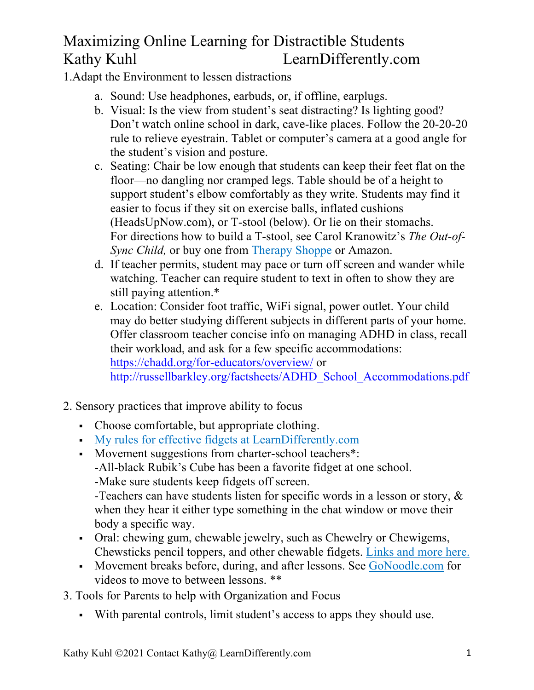## Maximizing Online Learning for Distractible Students Kathy Kuhl LearnDifferently.com

1.Adapt the Environment to lessen distractions

- a. Sound: Use headphones, earbuds, or, if offline, earplugs.
- b. Visual: Is the view from student's seat distracting? Is lighting good? Don't watch online school in dark, cave-like places. Follow the 20-20-20 rule to relieve eyestrain. Tablet or computer's camera at a good angle for the student's vision and posture.
- c. Seating: Chair be low enough that students can keep their feet flat on the floor—no dangling nor cramped legs. Table should be of a height to support student's elbow comfortably as they write. Students may find it easier to focus if they sit on exercise balls, inflated cushions (HeadsUpNow.com), or T-stool (below). Or lie on their stomachs. For directions how to build a T-stool, see Carol Kranowitz's *The Out-of-Sync Child,* or buy one from Therapy Shoppe or Amazon.
- d. If teacher permits, student may pace or turn off screen and wander while watching. Teacher can require student to text in often to show they are still paying attention.\*
- e. Location: Consider foot traffic, WiFi signal, power outlet. Your child may do better studying different subjects in different parts of your home. Offer classroom teacher concise info on managing ADHD in class, recall their workload, and ask for a few specific accommodations: https://chadd.org/for-educators/overview/ or http://russellbarkley.org/factsheets/ADHD\_School\_Accommodations.pdf
- 2. Sensory practices that improve ability to focus
	- Choose comfortable, but appropriate clothing.
	- § My rules for effective fidgets at LearnDifferently.com
	- Movement suggestions from charter-school teachers\*: -All-black Rubik's Cube has been a favorite fidget at one school. -Make sure students keep fidgets off screen.

-Teachers can have students listen for specific words in a lesson or story, & when they hear it either type something in the chat window or move their body a specific way.

- Oral: chewing gum, chewable jewelry, such as Chewelry or Chewigems, Chewsticks pencil toppers, and other chewable fidgets. Links and more here.
- Movement breaks before, during, and after lessons. See GoNoodle.com for videos to move to between lessons. \*\*
- 3. Tools for Parents to help with Organization and Focus
	- § With parental controls, limit student's access to apps they should use.